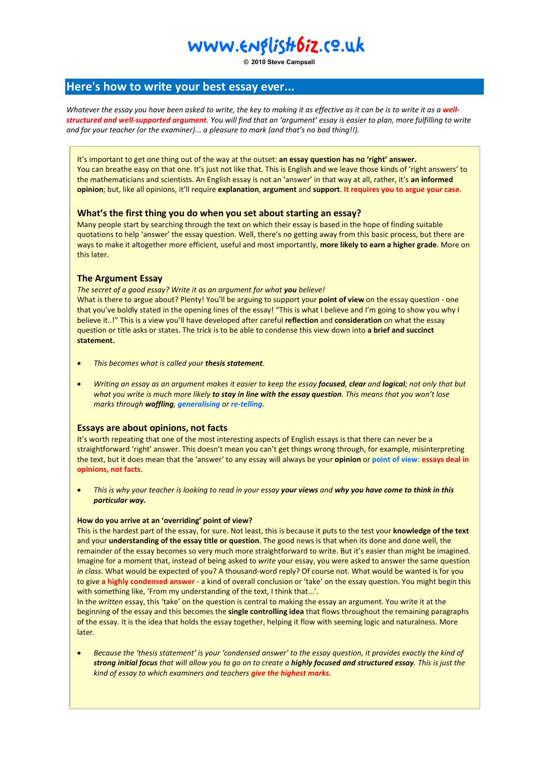# www.Englistr6iz.co.uk

**© 2010 Steve Campsall**

### **Here's how to write your best essay ever...**

Whatever the essay you have been asked to write, the key to making it as effective as it can be is to write it as a well*structured and well-supported argument. You will find that an 'argument' essay is easier to plan, more fulfilling to write and for your teacher (or the examiner)... a pleasure to mark (and that's no bad thing!!).* 

It's important to get one thing out of the way at the outset: **an essay question has no 'right' answer.**  the mathematicians and scientists. An English essay is not an 'answer' in that way at all, rather, it's **an informed opinion**; but, like all opinions, it'll require **explanation**, **argument** and **support**. **It requires you to argue your case.** You can breathe easy on that one. It's just not like that. This is English and we leave those kinds of 'right answers' to

### **What's the first thing you do when you set about starting an essay?**

Many people start by searching through the text on which their essay is based in the hope of finding suitable quotations to help 'answer' the essay question. Well, there's no getting away from this basic process, but there are ways to make it altogether more efficient, useful and most importantly, **more likely to earn a higher grade**. More on this later.

### **The Argument Essay**

*The secret of a good essay? Write it as an argument for what you believe!* 

What is there to argue about? Plenty! You'll be arguing to support your **point of view** on the essay question - one that you've boldly stated in the opening lines of the essay! "This is what I believe and I'm going to show you why I believe it..!" This is a view you'll have developed after careful **reflection** and **consideration** on what the essay question or title asks or states. The trick is to be able to condense this view down into **a brief and succinct statement.**

- *This becomes what is called your thesis statement.*
- *Writing an essay as an argument makes it easier to keep the essay focused, clear and logical; not only that but what you write is much more likely to stay in line with the essay question. This means that you won't lose marks through waffling, generalising or re-telling*.

### **Essays are about opinions, not facts**

It's worth repeating that one of the most interesting aspects of English essays is that there can never be a straightforward 'right' answer. This doesn't mean you can't get things wrong through, for example, misinterpreting the text, but it does mean that the 'answer' to any essay will always be your **opinion** or **point of view**: **essays deal in opinions, not facts**.

 *This is why your teacher is looking to read in your essay your views and why you have come to think in this particular way.*

### **How do you arrive at an 'overriding' point of view?**

This is the hardest part of the essay, for sure. Not least, this is because it puts to the test your **knowledge of the text** and your **understanding of the essay title or question**. The good news is that when its done and done well, the remainder of the essay becomes so very much more straightforward to write. But it's easier than might be imagined. Imagine for a moment that, instead of being asked to *write* your essay, you were asked to answer the same question *in class*. What would be expected of you? A thousand-word reply? Of course not. What would be wanted is for you to give **a highly condensed answer** - a kind of overall conclusion or 'take' on the essay question. You might begin this with something like, 'From my understanding of the text, I think that...'.

In the *written* essay, this 'take' on the question is central to making the essay an argument. You write it at the beginning of the essay and this becomes the **single controlling idea** that flows throughout the remaining paragraphs of the essay. It is the idea that holds the essay together, helping it flow with seeming logic and naturalness. More later.

 *Because the 'thesis statement' is your 'condensed answer' to the essay question, it provides exactly the kind of strong initial focus that will allow you to go on to create a highly focused and structured essay. This is just the kind of essay to which examiners and teachers give the highest marks.*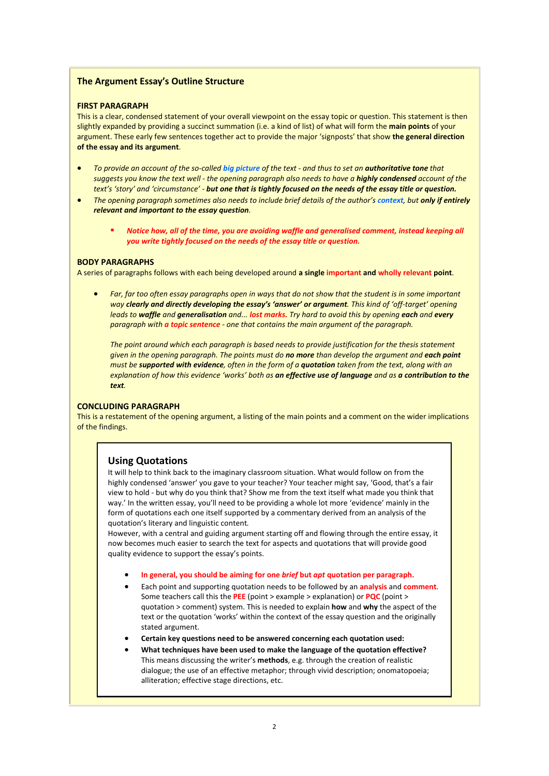### **The Argument Essay's Outline Structure**

#### **FIRST PARAGRAPH**

This is a clear, condensed statement of your overall viewpoint on the essay topic or question. This statement is then slightly expanded by providing a succinct summation (i.e. a kind of list) of what will form the **main points** of your argument. These early few sentences together act to provide the major 'signposts' that show **the general direction of the essay and its argument**.

- **•** To provide an account of the so-called big picture of the text and thus to set an **authoritative tone** that *suggests you know the text well - the opening paragraph also needs to have a highly condensed account of the text's 'story' and 'circumstance' - but one that is tightly focused on the needs of the essay title or question.*
- **•** The opening paragraph sometimes also needs to include brief details of the author's context, but only if entirely *relevant and important to the essay question.* 
	- *Notice how, all of the time, you are avoiding waffle and generalised comment, instead keeping all you write tightly focused on the needs of the essay title or question.*

#### **BODY PARAGRAPHS**

A series of paragraphs follows with each being developed around **a single important and wholly relevant point**.

*Far, far too often essay paragraphs open in ways that do not show that the student is in some important way clearly and directly developing the essay's 'answer' or argument. This kind of 'off-target' opening leads to waffle and generalisation and... lost marks. Try hard to avoid this by opening each and every paragraph with a topic sentence - one that contains the main argument of the paragraph.* 

*The point around which each paragraph is based needs to provide justification for the thesis statement given in the opening paragraph. The points must do no more than develop the argument and each point must be supported with evidence, often in the form of a quotation taken from the text, along with an explanation of how this evidence 'works' both as an effective use of language and as a contribution to the text.*

#### **CONCLUDING PARAGRAPH**

This is a restatement of the opening argument, a listing of the main points and a comment on the wider implications of the findings.

### **Using Quotations**

It will help to think back to the imaginary classroom situation. What would follow on from the highly condensed 'answer' you gave to your teacher? Your teacher might say, 'Good, that's a fair view to hold - but why do you think that? Show me from the text itself what made you think that way.' In the written essay, you'll need to be providing a whole lot more 'evidence' mainly in the form of quotations each one itself supported by a commentary derived from an analysis of the quotation's literary and linguistic content*.*

However, with a central and guiding argument starting off and flowing through the entire essay, it now becomes much easier to search the text for aspects and quotations that will provide good quality evidence to support the essay's points.

- **In general, you should be aiming for one** *brief* **but** *apt* **quotation per paragraph.**
- Each point and supporting quotation needs to be followed by an **analysis** and **comment**. Some teachers call this the **PEE** (point > example > explanation) or **PQC** (point > quotation > comment) system. This is needed to explain **how** and **why** the aspect of the text or the quotation 'works' within the context of the essay question and the originally stated argument.
- **Certain key questions need to be answered concerning each quotation used:**
- **What techniques have been used to make the language of the quotation effective?**  This means discussing the writer's **methods**, e.g. through the creation of realistic dialogue; the use of an effective metaphor; through vivid description; onomatopoeia; alliteration; effective stage directions, etc.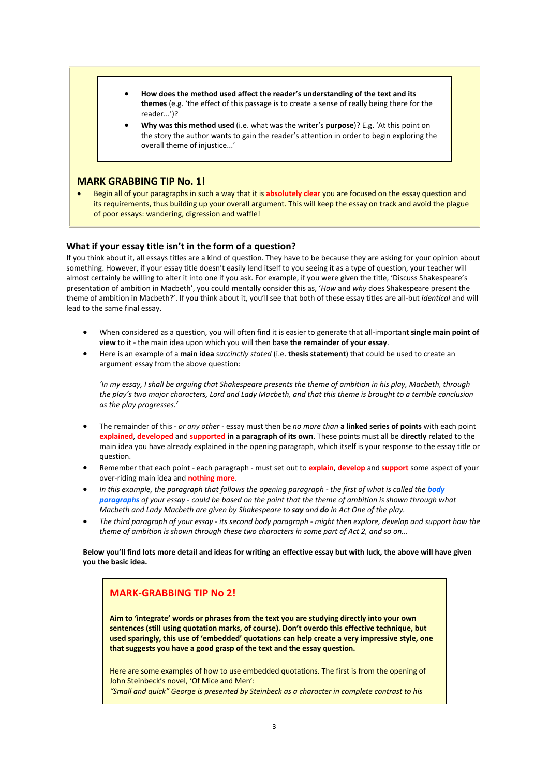- **How does the method used affect the reader's understanding of the text and its themes** (e.g. 'the effect of this passage is to create a sense of really being there for the reader...')?
- **Why was this method used** (i.e. what was the writer's **purpose**)? E.g. 'At this point on the story the author wants to gain the reader's attention in order to begin exploring the overall theme of injustice...'

### **MARK GRABBING TIP No. 1!**

 Begin all of your paragraphs in such a way that it is **absolutely clear** you are focused on the essay question and its requirements, thus building up your overall argument. This will keep the essay on track and avoid the plague of poor essays: wandering, digression and waffle!

### **What if your essay title isn't in the form of a question?**

If you think about it, all essays titles are a kind of question. They have to be because they are asking for your opinion about something. However, if your essay title doesn't easily lend itself to you seeing it as a type of question, your teacher will almost certainly be willing to alter it into one if you ask. For example, if you were given the title, 'Discuss Shakespeare's presentation of ambition in Macbeth', you could mentally consider this as, '*How* and *why* does Shakespeare present the theme of ambition in Macbeth?'. If you think about it, you'll see that both of these essay titles are all-but *identical* and will lead to the same final essay.

- When considered as a question, you will often find it is easier to generate that all-important **single main point of view** to it - the main idea upon which you will then base **the remainder of your essay**.
- Here is an example of a **main idea** *succinctly stated* (i.e. **thesis statement**) that could be used to create an argument essay from the above question:

*'In my essay, I shall be arguing that Shakespeare presents the theme of ambition in his play, Macbeth, through the play's two major characters, Lord and Lady Macbeth, and that this theme is brought to a terrible conclusion as the play progresses.'*

- The remainder of this *or any other* essay must then be *no more than* **a linked series of points** with each point **explained**, **developed** and **supported in a paragraph of its own**. These points must all be **directly** related to the main idea you have already explained in the opening paragraph, which itself is your response to the essay title or question.
- Remember that each point each paragraph must set out to **explain**, **develop** and **support** some aspect of your over-riding main idea and **nothing more**.
- *In this example, the paragraph that follows the opening paragraph the first of what is called the <i>body paragraphs of your essay - could be based on the point that the theme of ambition is shown through what Macbeth and Lady Macbeth are given by Shakespeare to say and do in Act One of the play.*
- *The third paragraph of your essay its second body paragraph might then explore, develop and support how the theme of ambition is shown through these two characters in some part of Act 2, and so on...*

**Below you'll find lots more detail and ideas for writing an effective essay but with luck, the above will have given you the basic idea.**

### **MARK-GRABBING TIP No 2!**

**Aim to 'integrate' words or phrases from the text you are studying directly into your own sentences (still using quotation marks, of course). Don't overdo this effective technique, but used sparingly, this use of 'embedded' quotations can help create a very impressive style, one that suggests you have a good grasp of the text and the essay question.**

Here are some examples of how to use embedded quotations. The first is from the opening of John Steinbeck's novel, 'Of Mice and Men': *"Small and quick" George is presented by Steinbeck as a character in complete contrast to his*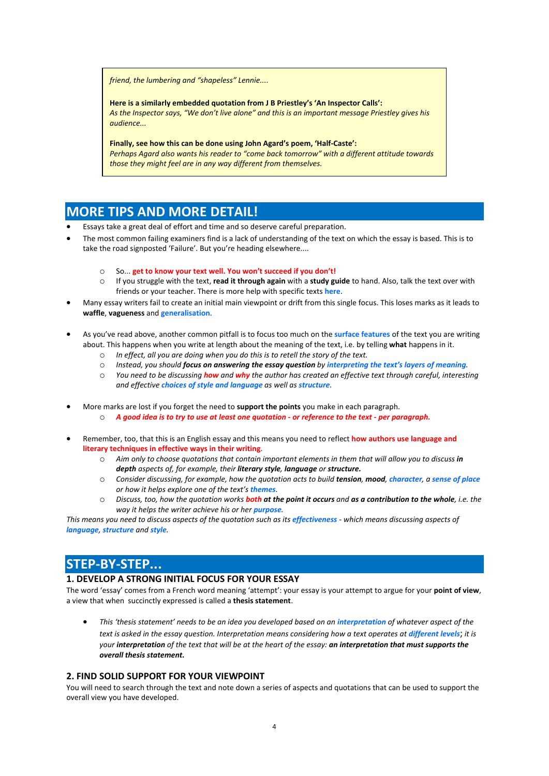*friend, the lumbering and "shapeless" Lennie....* 

**Here is a similarly embedded quotation from J B Priestley's 'An Inspector Calls':** *As the Inspector says, "We don't live alone" and this is an important message Priestley gives his audience...*

**Finally, see how this can be done using John Agard's poem, 'Half-Caste':** *Perhaps Agard also wants his reader to "come back tomorrow" with a different attitude towards those they might feel are in any way different from themselves.*

## **MORE TIPS AND MORE DETAIL!**

- Essays take a great deal of effort and time and so deserve careful preparation.
- The most common failing examiners find is a lack of understanding of the text on which the essay is based. This is to take the road signposted 'Failure'. But you're heading elsewhere....
	- o So... **get to know your text well. You won't succeed if you don't!**
	- o If you struggle with the text, **read it through again** with a **study guide** to hand. Also, talk the text over with friends or your teacher. There is more help with specific texts **here**.
- Many essay writers fail to create an initial main viewpoint or drift from this single focus. This loses marks as it leads to **waffle**, **vagueness** and **generalisation**.
- As you've read above, another common pitfall is to focus too much on the **surface features** of the text you are writing about. This happens when you write at length about the meaning of the text, i.e. by telling **what** happens in it.
	- o *In effect, all you are doing when you do this is to retell the story of the text.*
	- o *Instead, you should focus on answering the essay question by interpreting the text's layers of meaning.*
	- o *You need to be discussing how and why the author has created an effective text through careful, interesting and effective choices of style and language as well as structure.*
- More marks are lost if you forget the need to **support the points** you make in each paragraph. o *A good idea is to try to use at least one quotation - or reference to the text - per paragraph.*
- Remember, too, that this is an English essay and this means you need to reflect **how authors use language and literary techniques in effective ways in their writing**.
	- o *Aim only to choose quotations that contain important elements in them that will allow you to discuss in depth aspects of, for example, their literary style, language or structure.*
	- o *Consider discussing, for example, how the quotation acts to build tension, mood, character, a sense of place or how it helps explore one of the text's themes.*
	- o *Discuss, too, how the quotation works both at the point it occurs and as a contribution to the whole, i.e. the way it helps the writer achieve his or her purpose.*

*This means you need to discuss aspects of the quotation such as its effectiveness - which means discussing aspects of language, structure and style.*

# **STEP-BY-STEP...**

### **1. DEVELOP A STRONG INITIAL FOCUS FOR YOUR ESSAY**

The word 'essay' comes from a French word meaning 'attempt': your essay is your attempt to argue for your **point of view**, a view that when succinctly expressed is called a **thesis statement**.

 *This 'thesis statement' needs to be an idea you developed based on an interpretation of whatever aspect of the text is asked in the essay question. Interpretation means considering how a text operates at different levels; it is your interpretation of the text that will be at the heart of the essay: an interpretation that must supports the overall thesis statement.*

### **2. FIND SOLID SUPPORT FOR YOUR VIEWPOINT**

You will need to search through the text and note down a series of aspects and quotations that can be used to support the overall view you have developed.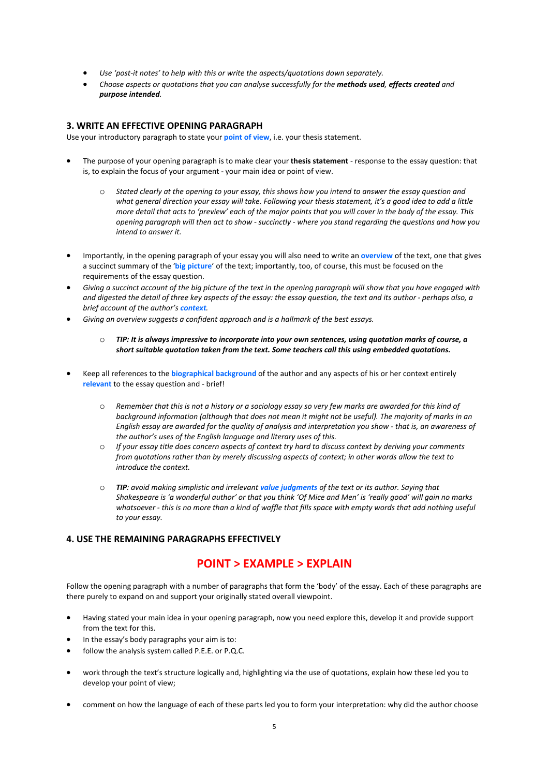- *Use 'post-it notes' to help with this or write the aspects/quotations down separately.*
- Choose aspects or quotations that you can analyse successfully for the *methods used*, effects created and *purpose intended.*

### **3. WRITE AN EFFECTIVE OPENING PARAGRAPH**

Use your introductory paragraph to state your **point of view**, i.e. your thesis statement.

- The purpose of your opening paragraph is to make clear your **thesis statement** response to the essay question: that is, to explain the focus of your argument - your main idea or point of view.
	- o *Stated clearly at the opening to your essay, this shows how you intend to answer the essay question and what general direction your essay will take. Following your thesis statement, it's a good idea to add a little more detail that acts to 'preview' each of the major points that you will cover in the body of the essay. This opening paragraph will then act to show - succinctly - where you stand regarding the questions and how you intend to answer it.*
- Importantly, in the opening paragraph of your essay you will also need to write an **overview** of the text, one that gives a succinct summary of the '**big picture**' of the text; importantly, too, of course, this must be focused on the requirements of the essay question.
- *Giving a succinct account of the big picture of the text in the opening paragraph will show that you have engaged with and digested the detail of three key aspects of the essay: the essay question, the text and its author - perhaps also, a brief account of the author's context.*
- *Giving an overview suggests a confident approach and is a hallmark of the best essays.*
	- o *TIP: It is always impressive to incorporate into your own sentences, using quotation marks of course, a short suitable quotation taken from the text. Some teachers call this using embedded quotations.*
- Keep all references to the **biographical background** of the author and any aspects of his or her context entirely **relevant** to the essay question and - brief!
	- o *Remember that this is not a history or a sociology essay so very few marks are awarded for this kind of background information (although that does not mean it might not be useful). The majority of marks in an English essay are awarded for the quality of analysis and interpretation you show - that is, an awareness of the author's uses of the English language and literary uses of this.*
	- o *If your essay title does concern aspects of context try hard to discuss context by deriving your comments from quotations rather than by merely discussing aspects of context; in other words allow the text to introduce the context.*
	- o *TIP: avoid making simplistic and irrelevant value judgments of the text or its author. Saying that Shakespeare is 'a wonderful author' or that you think 'Of Mice and Men' is 'really good' will gain no marks*  whatsoever - this is no more than a kind of waffle that fills space with empty words that add nothing useful *to your essay.*

### **4. USE THE REMAINING PARAGRAPHS EFFECTIVELY**

### **POINT > EXAMPLE > EXPLAIN**

Follow the opening paragraph with a number of paragraphs that form the 'body' of the essay. Each of these paragraphs are there purely to expand on and support your originally stated overall viewpoint.

- Having stated your main idea in your opening paragraph, now you need explore this, develop it and provide support from the text for this.
- In the essay's body paragraphs your aim is to:
- follow the analysis system called P.E.E. or P.Q.C.
- work through the text's structure logically and, highlighting via the use of quotations, explain how these led you to develop your point of view;
- comment on how the language of each of these parts led you to form your interpretation: why did the author choose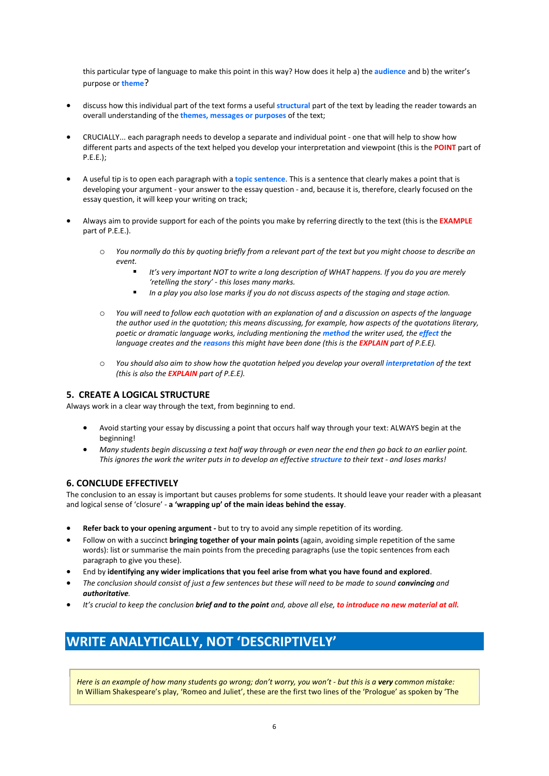this particular type of language to make this point in this way? How does it help a) the **audience** and b) the writer's purpose or **theme**?

- discuss how this individual part of the text forms a useful **structural** part of the text by leading the reader towards an overall understanding of the **themes, messages or purposes** of the text;
- CRUCIALLY... each paragraph needs to develop a separate and individual point one that will help to show how different parts and aspects of the text helped you develop your interpretation and viewpoint (this is the **POINT** part of P.E.E.);
- A useful tip is to open each paragraph with a **topic sentence**. This is a sentence that clearly makes a point that is developing your argument - your answer to the essay question - and, because it is, therefore, clearly focused on the essay question, it will keep your writing on track;
- Always aim to provide support for each of the points you make by referring directly to the text (this is the **EXAMPLE** part of P.E.E.).
	- o *You normally do this by quoting briefly from a relevant part of the text but you might choose to describe an event.*
		- *It's very important NOT to write a long description of WHAT happens. If you do you are merely 'retelling the story' - this loses many marks.*
		- *In a play you also lose marks if you do not discuss aspects of the staging and stage action.*
	- o *You will need to follow each quotation with an explanation of and a discussion on aspects of the language the author used in the quotation; this means discussing, for example, how aspects of the quotations literary, poetic or dramatic language works, including mentioning the method the writer used, the effect the language creates and the reasons this might have been done (this is the EXPLAIN part of P.E.E).*
	- $\circ$  *You should also aim to show how the quotation helped you develop your overall interpretation of the text (this is also the EXPLAIN part of P.E.E).*

### **5. CREATE A LOGICAL STRUCTURE**

Always work in a clear way through the text, from beginning to end.

- Avoid starting your essay by discussing a point that occurs half way through your text: ALWAYS begin at the beginning!
- *Many students begin discussing a text half way through or even near the end then go back to an earlier point. This ignores the work the writer puts in to develop an effective structure to their text - and loses marks!*

### **6. CONCLUDE EFFECTIVELY**

The conclusion to an essay is important but causes problems for some students. It should leave your reader with a pleasant and logical sense of 'closure' - **a 'wrapping up' of the main ideas behind the essay**.

- **Refer back to your opening argument -** but to try to avoid any simple repetition of its wording.
- Follow on with a succinct **bringing together of your main points** (again, avoiding simple repetition of the same words): list or summarise the main points from the preceding paragraphs (use the topic sentences from each paragraph to give you these).
- End by **identifying any wider implications that you feel arise from what you have found and explored**.
- *The conclusion should consist of just a few sentences but these will need to be made to sound <i>convincing* and *authoritative.*
- *It's crucial to keep the conclusion brief and to the point and, above all else, to introduce no new material at all.*

# **WRITE ANALYTICALLY, NOT 'DESCRIPTIVELY'**

*Here is an example of how many students go wrong; don't worry, you won't - but this is a very common mistake:* In William Shakespeare's play, 'Romeo and Juliet', these are the first two lines of the 'Prologue' as spoken by 'The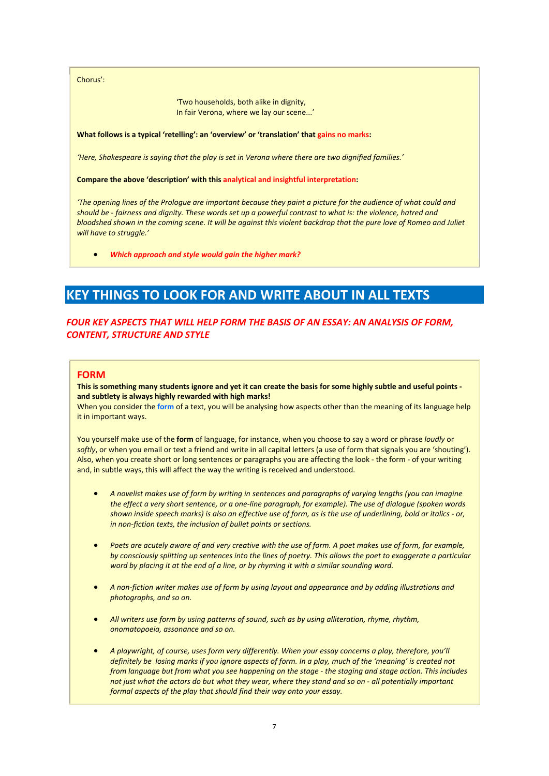Chorus':

'Two households, both alike in dignity, In fair Verona, where we lay our scene...'

#### **What follows is a typical 'retelling': an 'overview' or 'translation' that gains no marks:**

*'Here, Shakespeare is saying that the play is set in Verona where there are two dignified families.'*

#### **Compare the above 'description' with this analytical and insightful interpretation:**

*'The opening lines of the Prologue are important because they paint a picture for the audience of what could and should be - fairness and dignity. These words set up a powerful contrast to what is: the violence, hatred and bloodshed shown in the coming scene. It will be against this violent backdrop that the pure love of Romeo and Juliet will have to struggle.'*

*Which approach and style would gain the higher mark?*

# **KEY THINGS TO LOOK FOR AND WRITE ABOUT IN ALL TEXTS**

### *FOUR KEY ASPECTS THAT WILL HELP FORM THE BASIS OF AN ESSAY: AN ANALYSIS OF FORM, CONTENT, STRUCTURE AND STYLE*

### **FORM**

### **This is something many students ignore and yet it can create the basis for some highly subtle and useful points and subtlety is always highly rewarded with high marks!**

When you consider the **form** of a text, you will be analysing how aspects other than the meaning of its language help it in important ways.

You yourself make use of the **form** of language, for instance, when you choose to say a word or phrase *loudly* or *softly*, or when you email or text a friend and write in all capital letters (a use of form that signals you are 'shouting'). Also, when you create short or long sentences or paragraphs you are affecting the look - the form - of your writing and, in subtle ways, this will affect the way the writing is received and understood.

- *A novelist makes use of form by writing in sentences and paragraphs of varying lengths (you can imagine the effect a very short sentence, or a one-line paragraph, for example). The use of dialogue (spoken words shown inside speech marks) is also an effective use of form, as is the use of underlining, bold or italics - or, in non-fiction texts, the inclusion of bullet points or sections.*
- *Poets are acutely aware of and very creative with the use of form. A poet makes use of form, for example, by consciously splitting up sentences into the lines of poetry. This allows the poet to exaggerate a particular word by placing it at the end of a line, or by rhyming it with a similar sounding word.*
- *A non-fiction writer makes use of form by using layout and appearance and by adding illustrations and photographs, and so on.*
- *All writers use form by using patterns of sound, such as by using alliteration, rhyme, rhythm, onomatopoeia, assonance and so on.*
- *A playwright, of course, uses form very differently. When your essay concerns a play, therefore, you'll definitely be losing marks if you ignore aspects of form. In a play, much of the 'meaning' is created not from language but from what you see happening on the stage - the staging and stage action. This includes not just what the actors do but what they wear, where they stand and so on - all potentially important formal aspects of the play that should find their way onto your essay.*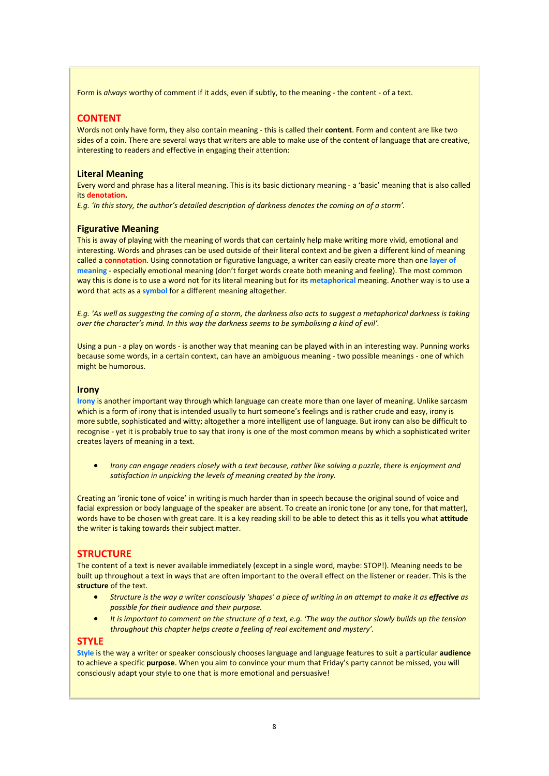Form is *always* worthy of comment if it adds, even if subtly, to the meaning - the content - of a text.

### **CONTENT**

Words not only have form, they also contain meaning - this is called their **content**. Form and content are like two sides of a coin. There are several ways that writers are able to make use of the content of language that are creative, interesting to readers and effective in engaging their attention:

### **Literal Meaning**

Every word and phrase has a literal meaning. This is its basic dictionary meaning - a 'basic' meaning that is also called its **denotation.**

*E.g. 'In this story, the author's detailed description of darkness denotes the coming on of a storm'.* 

### **Figurative Meaning**

This is away of playing with the meaning of words that can certainly help make writing more vivid, emotional and interesting. Words and phrases can be used outside of their literal context and be given a different kind of meaning called a **connotation**. Using connotation or figurative language, a writer can easily create more than one **layer of meaning** - especially emotional meaning (don't forget words create both meaning and feeling). The most common way this is done is to use a word not for its literal meaning but for its **metaphorical** meaning. Another way is to use a word that acts as a **symbol** for a different meaning altogether.

*E.g. 'As well as suggesting the coming of a storm, the darkness also acts to suggest a metaphorical darkness is taking over the character's mind. In this way the darkness seems to be symbolising a kind of evil'.* 

Using a pun - a play on words - is another way that meaning can be played with in an interesting way. Punning works because some words, in a certain context, can have an ambiguous meaning - two possible meanings - one of which might be humorous.

#### **Irony**

**Irony** is another important way through which language can create more than one layer of meaning. Unlike sarcasm which is a form of irony that is intended usually to hurt someone's feelings and is rather crude and easy, irony is more subtle, sophisticated and witty; altogether a more intelligent use of language. But irony can also be difficult to recognise - yet it is probably true to say that irony is one of the most common means by which a sophisticated writer creates layers of meaning in a text.

 *Irony can engage readers closely with a text because, rather like solving a puzzle, there is enjoyment and satisfaction in unpicking the levels of meaning created by the irony.*

Creating an 'ironic tone of voice' in writing is much harder than in speech because the original sound of voice and facial expression or body language of the speaker are absent. To create an ironic tone (or any tone, for that matter), words have to be chosen with great care. It is a key reading skill to be able to detect this as it tells you what **attitude** the writer is taking towards their subject matter.

### **STRUCTURE**

The content of a text is never available immediately (except in a single word, maybe: STOP!). Meaning needs to be built up throughout a text in ways that are often important to the overall effect on the listener or reader. This is the **structure** of the text.

- *Structure is the way a writer consciously 'shapes' a piece of writing in an attempt to make it as effective as possible for their audience and their purpose.*
- *It is important to comment on the structure of a text, e.g. 'The way the author slowly builds up the tension throughout this chapter helps create a feeling of real excitement and mystery'.*

### **STYLE**

**Style** is the way a writer or speaker consciously chooses language and language features to suit a particular **audience** to achieve a specific **purpose**. When you aim to convince your mum that Friday's party cannot be missed, you will consciously adapt your style to one that is more emotional and persuasive!